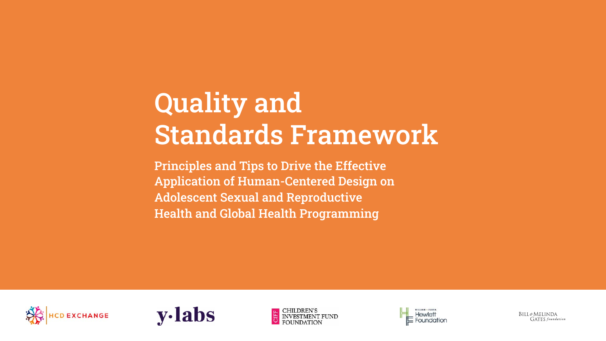# Quality and Standards Framework

Principles and Tips to Drive the Effective Application of Human-Centered Design on Adolescent Sexual and Reproductive Health and Global Health Programming









BILL&MELINDA **GATES** foundation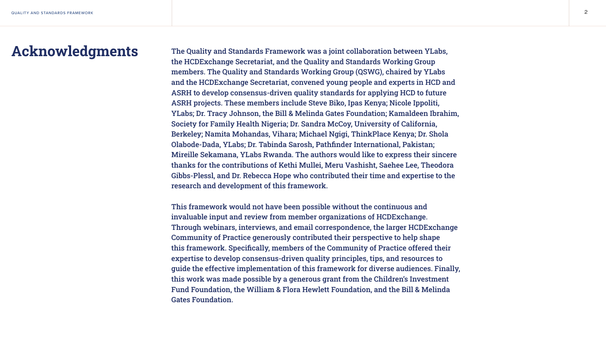

Acknowledgments The Quality and Standards Framework was a joint collaboration between YLabs, the HCDExchange Secretariat, and the Quality and Standards Working Group members. The Quality and Standards Working Group (QSWG), chaired by YLabs and the HCDExchange Secretariat, convened young people and experts in HCD and ASRH to develop consensus-driven quality standards for applying HCD to future ASRH projects. These members include Steve Biko, Ipas Kenya; Nicole Ippoliti, YLabs; Dr. Tracy Johnson, the Bill & Melinda Gates Foundation; Kamaldeen Ibrahim, Society for Family Health Nigeria; Dr. Sandra McCoy, University of California, Berkeley; Namita Mohandas, Vihara; Michael Ngigi, ThinkPlace Kenya; Dr. Shola Olabode-Dada, YLabs; Dr. Tabinda Sarosh, Pathfinder International, Pakistan; Mireille Sekamana, YLabs Rwanda. The authors would like to express their sincere thanks for the contributions of Kethi Mullei, Meru Vashisht, Saehee Lee, Theodora Gibbs-Plessl, and Dr. Rebecca Hope who contributed their time and expertise to the research and development of this framework.

> This framework would not have been possible without the continuous and invaluable input and review from member organizations of HCDExchange. Through webinars, interviews, and email correspondence, the larger HCDExchange Community of Practice generously contributed their perspective to help shape this framework. Specifically, members of the Community of Practice offered their expertise to develop consensus-driven quality principles, tips, and resources to guide the effective implementation of this framework for diverse audiences. Finally, this work was made possible by a generous grant from the Children's Investment Fund Foundation, the William & Flora Hewlett Foundation, and the Bill & Melinda Gates Foundation.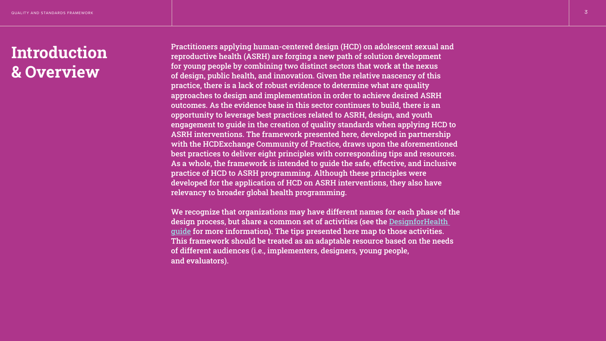# Introduction & Overview

Practitioners applying human-centered design (HCD) on adolescent sexual and reproductive health (ASRH) are forging a new path of solution development for young people by combining two distinct sectors that work at the nexus of design, public health, and innovation. Given the relative nascency of this practice, there is a lack of robust evidence to determine what are quality approaches to design and implementation in order to achieve desired ASRH outcomes. As the evidence base in this sector continues to build, there is an opportunity to leverage best practices related to ASRH, design, and youth engagement to guide in the creation of quality standards when applying HCD to ASRH interventions. The framework presented here, developed in partnership with the HCDExchange Community of Practice, draws upon the aforementioned best practices to deliver eight principles with corresponding tips and resources. As a whole, the framework is intended to guide the safe, effective, and inclusive practice of HCD to ASRH programming. Although these principles were developed for the application of HCD on ASRH interventions, they also have relevancy to broader global health programming.



We recognize that organizations may have different names for each phase of the design process, but share a common set of activities (see the [DesignforHealth](https://s3.amazonaws.com/files.designforhealth.org/What+Is+Design+for+Health.pdf)  [guide](https://s3.amazonaws.com/files.designforhealth.org/What+Is+Design+for+Health.pdf) for more information). The tips presented here map to those activities. This framework should be treated as an adaptable resource based on the needs of different audiences (i.e., implementers, designers, young people, and evaluators).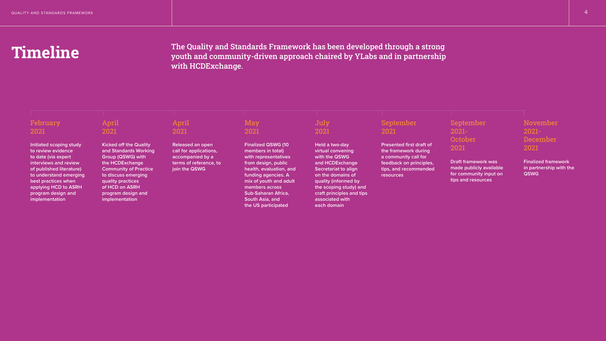# Timeline

**Initiated scoping study to review evidence to date (via expert interviews and review of published literature) to understand emerging best practices when applying HCD to ASRH program design and implementation**

**Kicked off the Quality and Standards Working Group (QSWG) with the HCDExchange Community of Practice to discuss emerging quality practices of HCD on ASRH program design and implementation**

**Released an open call for applications, accompanied by a terms of reference, to join the QSWG**

## **May** 2021

**Finalized QSWG (10 members in total) with representatives from design, public health, evaluation, and funding agencies. A mix of youth and adult members across Sub-Saharan Africa, South Asia, and the US participated**

**Held a two-day virtual convening with the QSWG and HCDExchange Secretariat to align on the domains of quality (informed by the scoping study) and craft principles and tips associated with each domain**

**Presented first draft of the framework during a community call for feedback on principles, tips, and recommended resources**

**Draft framework was made publicly available for community input on tips and resources**

**Finalized framework in partnership with the QSWG**





# February 2021

## April 2021

## April 2021

# July 2021

## September 2021

## September 2021- **October** 2021

## November 2021- December 2021

# The Quality and Standards Framework has been developed through a strong youth and community-driven approach chaired by YLabs and in partnership with HCDExchange.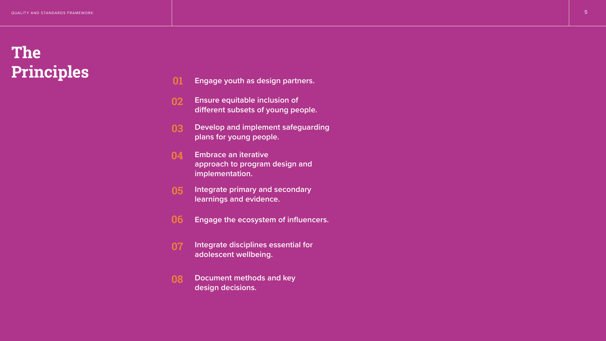

- 01 **Engage youth as design partners.**
- 02 **Ensure equitable inclusion of different subsets of young people.**
- 03 **Develop and implement safeguarding plans for young people.**
- 04 **Embrace an iterative approach to program design and implementation.**
- 05 **Integrate primary and secondary learnings and evidence.**
- 06 **Engage the ecosystem of influencers.**
- 07 **Integrate disciplines essential for adolescent wellbeing.**
- 08 **Document methods and key design decisions.**

# The Principles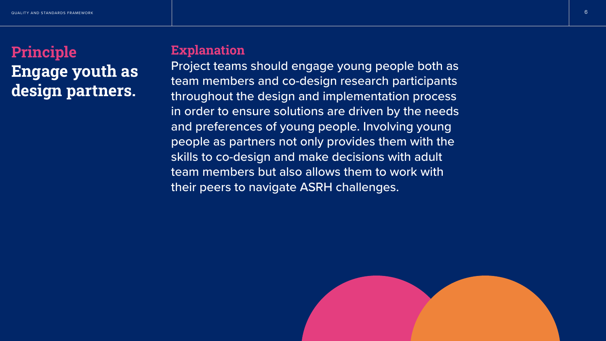

# Principle Engage youth as design partners.

# **Explanation**

Project teams should engage young people both as team members and co-design research participants throughout the design and implementation process in order to ensure solutions are driven by the needs and preferences of young people. Involving young people as partners not only provides them with the skills to co-design and make decisions with adult team members but also allows them to work with their peers to navigate ASRH challenges.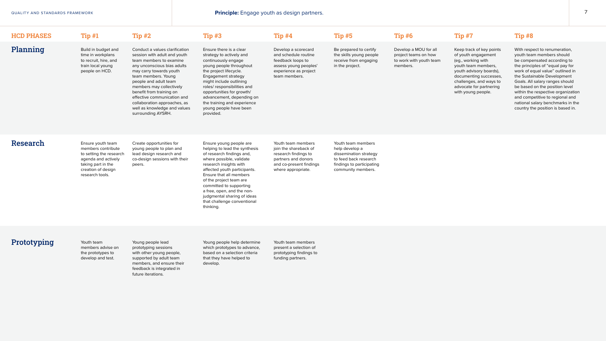| <b>HCD PHASES</b> | Tip#1                                                                                                                                                    | Tip#2                                                                                                                                                                                                                                                                                                                                                                            | Tip#3                                                                                                                                                                                                                                                                                                                                                                 | Tip#4                                                                                                                                       | <b>Tip #5</b>                                                                                                                              | Tip#6                                                                                | <b>Tip #7</b>                                                                                                                                                                                                                 | <b>Tip #8</b>                                                                                                                                                                                                                                                                                                                                                 |
|-------------------|----------------------------------------------------------------------------------------------------------------------------------------------------------|----------------------------------------------------------------------------------------------------------------------------------------------------------------------------------------------------------------------------------------------------------------------------------------------------------------------------------------------------------------------------------|-----------------------------------------------------------------------------------------------------------------------------------------------------------------------------------------------------------------------------------------------------------------------------------------------------------------------------------------------------------------------|---------------------------------------------------------------------------------------------------------------------------------------------|--------------------------------------------------------------------------------------------------------------------------------------------|--------------------------------------------------------------------------------------|-------------------------------------------------------------------------------------------------------------------------------------------------------------------------------------------------------------------------------|---------------------------------------------------------------------------------------------------------------------------------------------------------------------------------------------------------------------------------------------------------------------------------------------------------------------------------------------------------------|
| Planning          | Build in budget and<br>time in workplans<br>to recruit, hire, and<br>train local young<br>people on HCD.                                                 | Conduct a values clarification<br>session with adult and youth<br>team members to examine<br>any unconscious bias adults<br>may carry towards youth<br>team members. Young<br>people and adult team<br>members may collectively<br>benefit from training on<br>effective communication and<br>collaboration approaches, as<br>well as knowledge and values<br>surrounding AYSRH. | Ensure there is a clear<br>strategy to actively and<br>continuously engage<br>young people throughout<br>the project lifecycle.<br>Engagement strategy<br>might include outlining<br>roles/responsibilities and<br>opportunities for growth/<br>advancement, depending on<br>the training and experience<br>young people have been<br>provided.                       | Develop a scorecard<br>and schedule routine<br>feedback loops to<br>assess young peoples'<br>experience as project<br>team members.         | Be prepared to certify<br>the skills young people<br>receive from engaging<br>in the project.                                              | Develop a MOU for all<br>project teams on how<br>to work with youth team<br>members. | Keep track of key points<br>of youth engagement<br>(eg., working with<br>youth team members,<br>youth advisory boards),<br>documenting successes,<br>challenges, and ways to<br>advocate for partnering<br>with young people. | With respect to renumerat<br>youth team members shou<br>be compensated accordin<br>the principles of "equal pa<br>work of equal value" outlir<br>the Sustainable Developm<br>Goals. All salary ranges sh<br>be based on the position I<br>within the respective orga<br>and competitive to region<br>national salary benchmark<br>country the position is bas |
| Research          | Ensure youth team<br>members contribute<br>to setting the research<br>agenda and actively<br>taking part in the<br>creation of design<br>research tools. | Create opportunities for<br>young people to plan and<br>lead design research and<br>co-design sessions with their<br>peers.                                                                                                                                                                                                                                                      | Ensure young people are<br>helping to lead the synthesis<br>of research findings and,<br>where possible, validate<br>research insights with<br>affected youth participants.<br>Ensure that all members<br>of the project team are<br>committed to supporting<br>a free, open, and the non-<br>judgmental sharing of ideas<br>that challenge conventional<br>thinking. | Youth team members<br>join the shareback of<br>research findings to<br>partners and donors<br>and co-present findings<br>where appropriate. | Youth team members<br>help develop a<br>dissemination strategy<br>to feed back research<br>findings to participating<br>community members. |                                                                                      |                                                                                                                                                                                                                               |                                                                                                                                                                                                                                                                                                                                                               |
|                   |                                                                                                                                                          |                                                                                                                                                                                                                                                                                                                                                                                  |                                                                                                                                                                                                                                                                                                                                                                       |                                                                                                                                             |                                                                                                                                            |                                                                                      |                                                                                                                                                                                                                               |                                                                                                                                                                                                                                                                                                                                                               |

# **Prototyping** Youth team

members advise on the prototypes to develop and test.

Young people lead prototyping sessions with other young people, supported by adult team members, and ensure their feedback is integrated in future iterations.

Young people help determine which prototypes to advance, based on a selection criteria that they have helped to develop.

Youth team members present a selection of prototyping findings to funding partners.

ation,  $uld$ ng to ay for ned in hent hould level mization al and ks in the sed in.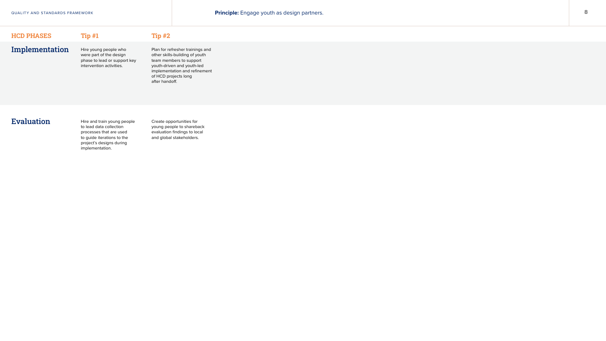## $HCD$  PHASES Tip  $#1$  Tip  $#2$

# Implementation

Hire young people who were part of the design phase to lead or support key intervention activities.

Plan for refresher trainings and other skills-building of youth team members to support youth-driven and youth-led implementation and refinement of HCD projects long after handoff.

# Evaluation Hire and train young people

to lead data collection processes that are used to guide iterations to the project's designs during implementation.

Create opportunities for young people to shareback evaluation findings to local and global stakeholders.

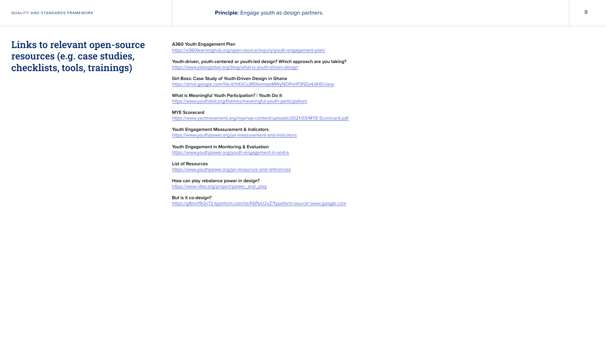**A360 Youth Engagement Plan**

[https://a360learninghub.org/open-source/inquiry/youth-engagement-plan/](https://a360learninghub.org/open-source/inquiry/youth-engagement-plan/ )

**Youth-driven, youth-centered or youth-led design? Which approach are you taking?** [https://www.ylabsglobal.org/blog/what-is-youth-driven-design](https://www.ylabsglobal.org/blog/what-is-youth-driven-design )

**Girl Boss: Case Study of Youth-Driven Design in Ghana** [https://drive.google.com/file/d/1rKIiCcjRENnmqwMWyNOPxhP3NZd4JIH0/view](https://drive.google.com/file/d/1rKIiCcjRENnmqwMWyNOPxhP3NZd4JIH0/view )

**What is Meaningful Youth Participation? | Youth Do It** [https://www.youthdoit.org/themes/meaningful-youth-participation/](https://www.youthdoit.org/themes/meaningful-youth-participation/ )

**MYE Scorecard** [https://www.yactmovement.org/mye/wp-content/uploads/2021/03/MYE-Scorecard.pdf](https://www.yactmovement.org/mye/wp-content/uploads/2021/03/MYE-Scorecard.pdf )

**Youth Engagement Measurement & Indicators** [https://www.youthpower.org/ye-measurement-and-indicators](https://www.youthpower.org/ye-measurement-and-indicators )

**Youth Engagement in Monitoring & Evaluation** [https://www.youthpower.org/youth-engagement-m-and-e](https://www.youthpower.org/youth-engagement-m-and-e )

**List of Resources** [https://www.youthpower.org/ye-resources-and-references](https://www.youthpower.org/ye-resources-and-references )

**How can play rebalance power in design?** [https://www.ideo.org/project/power\\_and\\_play](https://www.ideo.org/project/power_and_play )

**But is it co-design?** <https://g8mvf9i2x72.typeform.com/to/K6PpU2xZ?typeform-source=www.google.com>

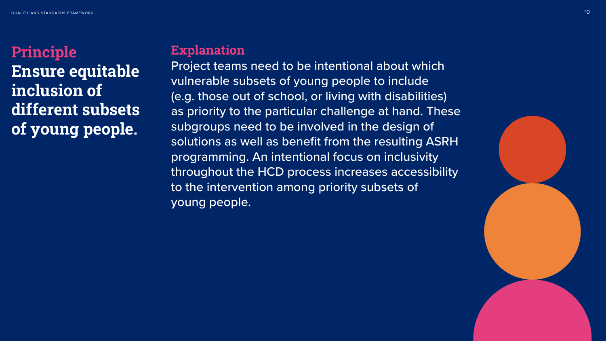

# Principle Ensure equitable inclusion of different subsets of young people.

# **Explanation**

Project teams need to be intentional about which vulnerable subsets of young people to include (e.g. those out of school, or living with disabilities) as priority to the particular challenge at hand. These subgroups need to be involved in the design of solutions as well as benefit from the resulting ASRH programming. An intentional focus on inclusivity throughout the HCD process increases accessibility to the intervention among priority subsets of young people.

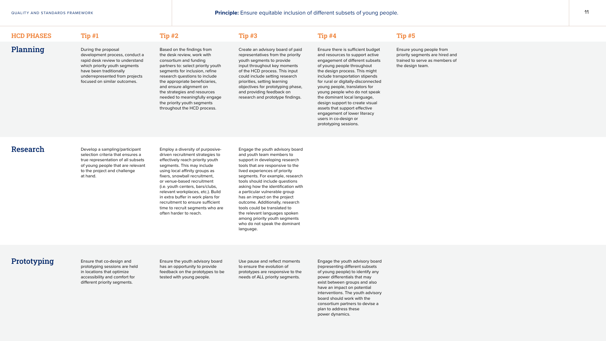# Planning

## HCD PHASES Tip #1 Tip #2 Tip #3 Tip #4 Tip #5

During the proposal development process, conduct a rapid desk review to understand which priority youth segments have been traditionally underrepresented from projects focused on similar outcomes.

Based on the findings from the desk review, work with consortium and funding partners to: select priority youth segments for inclusion, refine research questions to include the appropriate beneficiaries, and ensure alignment on the strategies and resources needed to meaningfully engage the priority youth segments throughout the HCD process.

Create an advisory board of paid representatives from the priority youth segments to provide input throughout key moments of the HCD process. This input could include setting research priorities, setting learning objectives for prototyping phase, and providing feedback on research and prototype findings.

Research Develop a sampling/participant selection criteria that ensures a true representation of all subsets of young people that are relevant to the project and challenge at hand.

Ensure there is sufficient budget and resources to support active engagement of different subsets of young people throughout the design process. This might include transportation stipends for rural or digitally-disconnected young people, translators for young people who do not speak the dominant local language, design support to create visual assets that support effective engagement of lower literacy users in co-design or prototyping sessions.

Ensure young people from priority segments are hired and trained to serve as members of the design team.

Employ a diversity of purposivedriven recruitment strategies to effectively reach priority youth segments. This may include using local affinity groups as fixers, snowball recruitment, or venue-based recruitment (i.e. youth centers, bars/clubs, relevant workplaces, etc.). Build in extra buffer in work plans for recruitment to ensure sufficient time to recruit segments who are often harder to reach.

Engage the youth advisory board and youth team members to support in developing research tools that are responsive to the lived experiences of priority segments. For example, research tools should include questions asking how the identification with a particular vulnerable group has an impact on the project outcome. Additionally, research tools could be translated to the relevant languages spoken among priority youth segments who do not speak the dominant language.

# **Prototyping** Ensure that co-design and

prototyping sessions are held in locations that optimize accessibility and comfort for different priority segments.

Ensure the youth advisory board has an opportunity to provide feedback on the prototypes to be tested with young people.

Use pause and reflect moments to ensure the evolution of prototypes are responsive to the needs of ALL priority segments.

Engage the youth advisory board (representing different subsets of young people) to identify any power differentials that may exist between groups and also have an impact on potential interventions. The youth advisory board should work with the consortium partners to devise a plan to address these power dynamics.

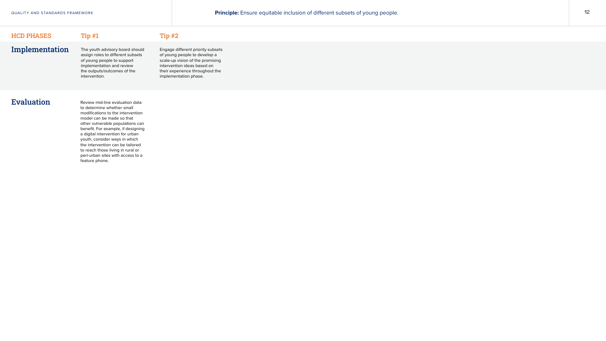## $HCD$  PHASES Tip  $#1$  Tip  $#2$

QUALITY AND STANDARDS FRAMEWORK **Principle:** Ensure equitable inclusion of different subsets of young people. 12



The youth advisory board should assign roles to different subsets of young people to support implementation and review the outputs/outcomes of the intervention.

Engage different priority subsets of young people to develop a scale-up vision of the promising intervention ideas based on their experience throughout the implementation phase.

Review mid-line evaluation data to determine whether small modifications to the intervention model can be made so that other vulnerable populations can benefit. For example, if designing a digital intervention for urban youth, consider ways in which the intervention can be tailored to reach those living in rural or peri-urban sites with access to a feature phone.

Implementation

## Evaluation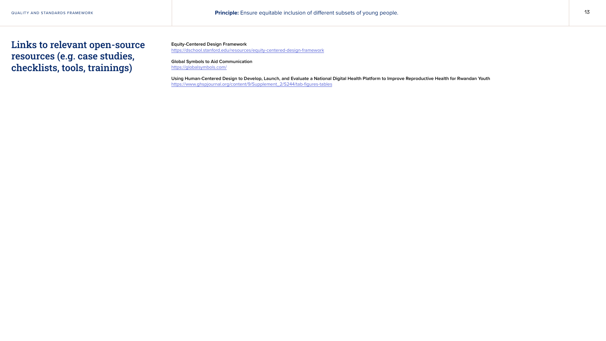**Equity-Centered Design Framework** <https://dschool.stanford.edu/resources/equity-centered-design-framework>

**Global Symbols to Aid Communication**  <https://globalsymbols.com/>

**Using Human-Centered Design to Develop, Launch, and Evaluate a National Digital Health Platform to Improve Reproductive Health for Rwandan Youth** [https://www.ghspjournal.org/content/9/Supplement\\_2/S244/tab-figures-tables](https://www.ghspjournal.org/content/9/Supplement_2/S244/tab-figures-tables)

QUALITY AND STANDARDS FRAMEWORK **Principle:** Ensure equitable inclusion of different subsets of young people. 13

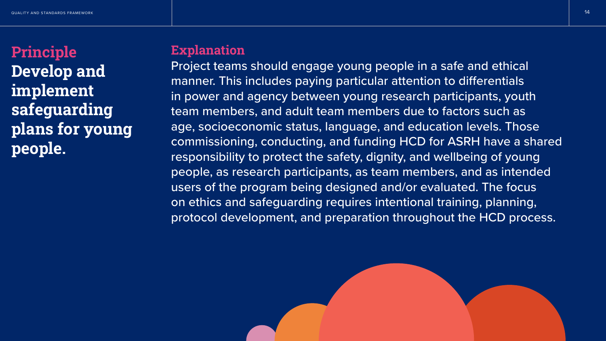

# Principle Develop and implement safeguarding plans for young people.

# **Explanation**

Project teams should engage young people in a safe and ethical manner. This includes paying particular attention to differentials in power and agency between young research participants, youth team members, and adult team members due to factors such as age, socioeconomic status, language, and education levels. Those commissioning, conducting, and funding HCD for ASRH have a shared responsibility to protect the safety, dignity, and wellbeing of young people, as research participants, as team members, and as intended users of the program being designed and/or evaluated. The focus on ethics and safeguarding requires intentional training, planning, protocol development, and preparation throughout the HCD process.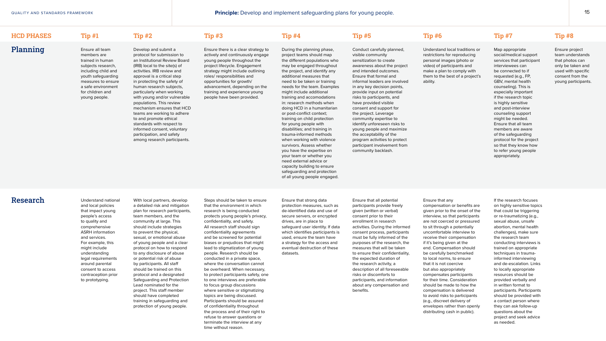# Planning

## HCD PHASES Tip #1 Tip #2 Tip #3 Tip #4 Tip #5 Tip #6 Tip #7 Tip #8

Ensure all team members are trained in human subjects research, including child and youth safeguarding measures to ensure a safe environment for children and young people.

Develop and submit a protocol for submission to an Institutional Review Board (IRB) local to the site(s) of activities. IRB review and approval is a critical step in protecting the safety of human research subjects, particularly when working with young and/or vulnerable populations. This review mechanism ensures that HCD teams are working to adhere to and promote ethical standards with respect to informed consent, voluntary participation, and safety among research participants.

Ensure there is a clear strategy to actively and continuously engage young people throughout the project lifecycle. Engagement strategy might include outlining roles/ responsibilities and opportunities for growth/ advancement, depending on the training and experience young people have been provided.

During the planning phase, project teams should map the different populations who may be engaged throughout the project, and identify any additional measures that need to be taken or training needs for the team. Examples might include additional training and accomodations in: research methods when doing HCD in a humanitarian or post-conflict context; training on child protection for young people with disabilities; and training in trauma-informed methods when working with violence survivors. Assess whether you have the expertise on your team or whether you need external advice or capacity building to ensure safeguarding and protection of all young people engaged.

Research Understand national and local policies that impact young people's access to quality and comprehensive ASRH information and services. For example, this might include understanding legal requirements around parental consent to access contraception prior to prototyping.

Conduct carefully planned, visible community sensitization to create awareness about the project and intended outcomes. Ensure that formal and informal leaders are involved in any key decision points, provide input on potential risks to participants, and have provided visible consent and support for the project. Leverage community expertise to identify unforeseen risks to young people and maximize the acceptability of the program activities to protect participant involvement from community backlash.

Understand local traditions or restrictions for reproducing personal images (photo or video) of participants and make a plan to comply with them to the best of a project's ability.

Map appropriate social/medical support services that participant interviewees can be connected to if requested (e.g., FP, GBV, mental health counseling). This is especially important if the research topic is highly sensitive and post-interview counseling support might be needed. Ensure that all team members are aware of the safeguarding protocol for the project so that they know how to refer young people appropriately.

Ensure project team understands that photos can only be taken and used with specific consent from the young participants.

With local partners, develop a detailed risk and mitigation plan for research participants, team members, and the community at large. This should include strategies to prevent the physical, sexual, or emotional abuse of young people and a clear protocol on how to respond to any disclosure of abuse or potential risk of abuse by participants. All staff should be trained on this protocol and a designated Safeguarding and Protection Lead nominated for the project. This staff member should have completed training in safeguarding and protection of young people.

Steps should be taken to ensure that the environment in which research is being conducted protects young people's privacy, confidentiality, and safety. All research staff should sign confidentiality agreements and be screened for potential biases or prejudices that might lead to stigmatization of young people. Research should be conducted in a private space, where the conversation cannot be overheard. When necessary, to protect participants safety, one to one interviews are preferable to focus group discussions where sensitive or stigmatizing topics are being discussed. Participants should be assured of confidentiality throughout the process and of their right to refuse to answer questions or terminate the interview at any time without reason.

Ensure that strong data protection measures, such as de-identified data and use of secure servers, or encrypted drives, are in place to safeguard user identity. If data which identifies participants is used, ensure the team have a strategy for the access and eventual destruction of these datasets.

Ensure that all potential participants provide freely given (written or verbal) consent prior to their enrollment in research activities. During the informed consent process, participants must be fully informed of the purposes of the research, the measures that will be taken to ensure their confidentiality, the expected duration of the research activity, a description of all foreseeable risks or discomforts to participants, and information about any compensation and benefits.

## Ensure that any

compensation or benefits are given prior to the onset of the interview, so that participants are not coerced or pressured to sit through a potentially uncomfortable interview to receive their compensation if it's being given at the end. Compensation should be carefully benchmarked to local norms, to ensure that it is not coercive but also appropriately compensates participants for their time. Consideration should be made to how the compensation is delivered to avoid risks to participants (e.g., discreet delivery of envelopes rather than openly distributing cash in public).

If the research focuses on highly sensitive topics that could be triggering or re-traumatizing (e.g., sexual abuse, unsafe abortion, mental health challenges), make sure the research team conducting interviews is trained on appropriate techniques in traumainformed interviewing and de-escalation. Links to locally appropriate resources should be provided verbally and in written format to participants. Participants should be provided with a contact person where they can ask follow-up questions about the project and seek advice as needed.

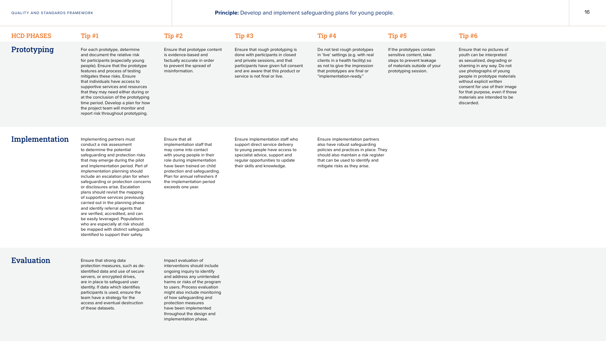# Prototyping

## HCD PHASES

## Implementation

protection measures, such as deidentified data and use of secure servers, or encrypted drives, are in place to safeguard user identity. If data which identifies participants is used, ensure the team have a strategy for the access and eventual destruction of these datasets.

Impact evaluation of interventions should include ongoing inquiry to identify and address any unintended harms or risks of the program to users. Process evaluation might also include monitoring of how safeguarding and protection measures have been implemented throughout the design and implementation phase.

## Tip #1 Tip #2 Tip #3 Tip #4 Tip #5 Tip #6

For each prototype, determine and document the relative risk for participants (especially young people). Ensure that the prototype features and process of testing mitigates these risks. Ensure that individuals have access to supportive services and resources that they may need either during or at the conclusion of the prototyping time period. Develop a plan for how the project team will monitor and report risk throughout prototyping.

Implementing partners must conduct a risk assessment to determine the potential safeguarding and protection risks that may emerge during the pilot and implementation period. Part of implementation planning should include an escalation plan for when safeguarding or protection concerns or disclosures arise. Escalation plans should revisit the mapping of supportive services previously carried out in the planning phase and identify referral agents that are verified, accredited, and can be easily leveraged. Populations who are especially at risk should be mapped with distinct safeguards identified to support their safety.

Ensure that prototype content is evidence-based and factually accurate in order to prevent the spread of misinformation.

Ensure that all implementation staff that may come into contact with young people in their role during implementation have been trained on child protection and safeguarding. Plan for annual refreshers if the implementation period exceeds one year.

Ensure that rough prototyping is done with participants in closed and private sessions, and that participants have given full consent and are aware that this product or service is not final or live.

Ensure implementation staff who support direct service delivery to young people have access to specialist advice, support and regular opportunities to update their skills and knowledge.

# Evaluation Ensure that strong data

Ensure implementation partners also have robust safeguarding policies and practices in place. They should also maintain a risk register that can be used to identify and mitigate risks as they arise.



## Do not test rough prototypes in 'live' settings (e.g. with real clients in a health facility) so as not to give the impression that prototypes are final or "implementation-ready."

If the prototypes contain sensitive content, take steps to prevent leakage of materials outside of your prototyping session.

Ensure that no pictures of youth can be interpreted as sexualized, degrading or shaming in any way. Do not use photographs of young people in prototype materials without explicit written consent for use of their image for that purpose, even if those materials are intended to be discarded.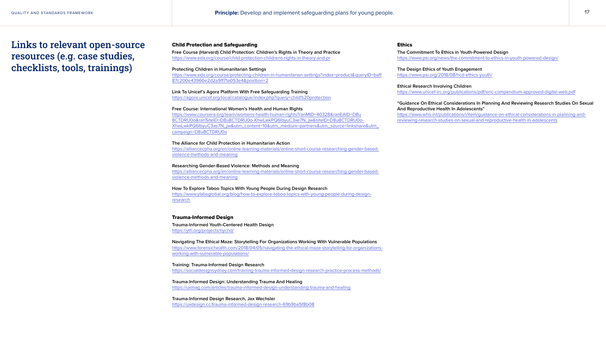## Child Protection and Safeguarding

**Free Course (Harvard) Child Protection: Children's Rights in Theory and Practice** [https://www.edx.org/course/child-protection-childrens-rights-in-theory-and-pr](https://www.edx.org/course/child-protection-childrens-rights-in-theory-and-pr )

## **Protecting Children in Humanitarian Settings**

[https://www.edx.org/course/protecting-children-in-humanitarian-settings?index=product&queryID=baff](https://www.edx.org/course/protecting-children-in-humanitarian-settings?index=product&queryID=baff87c200e43960e2d2a9ff71a053e4&position=2) [87c200e43960e2d2a9ff71a053e4&position=2](https://www.edx.org/course/protecting-children-in-humanitarian-settings?index=product&queryID=baff87c200e43960e2d2a9ff71a053e4&position=2)

**Link To Unicef's Agora Platform With Free Safeguarding Training** [https://agora.unicef.org/local/catalogue/index.php?query=child%20protection](https://agora.unicef.org/local/catalogue/index.php?query=child%20protection )

**Free Course: International Women's Health and Human Rights** [https://www.coursera.org/learn/womens-health-human-rights?ranMID=40328&ranEAID=D8u](https://www.coursera.org/learn/womens-health-human-rights?ranMID=40328&ranEAID=D8u8CTDRU0o&ranSiteID=D8u8CTDRU0o-XhwLwkPQ6IbyuC3xe7N_jw&siteID=D8u8CTDRU0o-XhwLwkPQ6IbyuC3xe7N_jw&utm_content=10&utm_medium=partners&utm_source=linkshare&utm_campaign=D8u8CTDR) [8CTDRU0o&ranSiteID=D8u8CTDRU0o-XhwLwkPQ6IbyuC3xe7N\\_jw&siteID=D8u8CTDRU0o-](https://www.coursera.org/learn/womens-health-human-rights?ranMID=40328&ranEAID=D8u8CTDRU0o&ranSiteID=D8u8CTDRU0o-XhwLwkPQ6IbyuC3xe7N_jw&siteID=D8u8CTDRU0o-XhwLwkPQ6IbyuC3xe7N_jw&utm_content=10&utm_medium=partners&utm_source=linkshare&utm_campaign=D8u8CTDR)[XhwLwkPQ6IbyuC3xe7N\\_jw&utm\\_content=10&utm\\_medium=partners&utm\\_source=linkshare&utm\\_](https://www.coursera.org/learn/womens-health-human-rights?ranMID=40328&ranEAID=D8u8CTDRU0o&ranSiteID=D8u8CTDRU0o-XhwLwkPQ6IbyuC3xe7N_jw&siteID=D8u8CTDRU0o-XhwLwkPQ6IbyuC3xe7N_jw&utm_content=10&utm_medium=partners&utm_source=linkshare&utm_campaign=D8u8CTDR) [campaign=D8u8CTDRU0o](https://www.coursera.org/learn/womens-health-human-rights?ranMID=40328&ranEAID=D8u8CTDRU0o&ranSiteID=D8u8CTDRU0o-XhwLwkPQ6IbyuC3xe7N_jw&siteID=D8u8CTDRU0o-XhwLwkPQ6IbyuC3xe7N_jw&utm_content=10&utm_medium=partners&utm_source=linkshare&utm_campaign=D8u8CTDR)

**The Alliance for Child Protection in Humanitarian Action** [https://alliancecpha.org/en/online-learning-materials/online-short-course-researching-gender-based](https://alliancecpha.org/en/online-learning-materials/online-short-course-researching-gender-based-violence-methods-and-meaning )[violence-methods-and-meaning](https://alliancecpha.org/en/online-learning-materials/online-short-course-researching-gender-based-violence-methods-and-meaning )

**Researching Gender-Based Violence: Methods and Meaning** [https://alliancecpha.org/en/online-learning-materials/online-short-course-researching-gender-based](https://alliancecpha.org/en/online-learning-materials/online-short-course-researching-gender-based-violence-methods-and-meaning)[violence-methods-and-meaning](https://alliancecpha.org/en/online-learning-materials/online-short-course-researching-gender-based-violence-methods-and-meaning)

**How To Explore Taboo Topics With Young People During Design Research** [https://www.ylabsglobal.org/blog/how-to-explore-taboo-topics-with-young-people-during-design](https://www.ylabsglobal.org/blog/how-to-explore-taboo-topics-with-young-people-during-design-research)[research](https://www.ylabsglobal.org/blog/how-to-explore-taboo-topics-with-young-people-during-design-research)

## Trauma-Informed Design

**Trauma-Informed Youth-Centered Health Design** <https://yth.org/projects/tiychd/>

**Navigating The Ethical Maze: Storytelling For Organizations Working With Vulnerable Populations** [https://www.forensichealth.com/2018/04/05/navigating-the-ethical-maze-storytelling-for-organizations](https://www.forensichealth.com/2018/04/05/navigating-the-ethical-maze-storytelling-for-organizations-working-with-vulnerable-populations/)[working-with-vulnerable-populations/](https://www.forensichealth.com/2018/04/05/navigating-the-ethical-maze-storytelling-for-organizations-working-with-vulnerable-populations/)

**Training: Trauma-Informed Design Research** [https://socialdesignsydney.com/training-trauma-informed-design-research-practice-process-methods/](https://socialdesignsydney.com/training-trauma-informed-design-research-practice-process-methods/ )

**Trauma-Informed Design: Understanding Trauma And Healing** [https://uxmag.com/articles/trauma-informed-design-understanding-trauma-and-healing](https://uxmag.com/articles/trauma-informed-design-understanding-trauma-and-healing )

**Trauma-Informed Design Research, Jax Wechsler** [https://uxdesign.cc/trauma-informed-design-research-69b9ba5f8b08](https://uxdesign.cc/trauma-informed-design-research-69b9ba5f8b08 )

## Ethics

**The Commitment To Ethics in Youth-Powered Design** [https://www.psi.org/news/the-commitment-to-ethics-in-youth-powered-design/](https://www.psi.org/news/the-commitment-to-ethics-in-youth-powered-design/ )

**The Design Ethics of Youth Engagement** [https://www.psi.org/2018/08/hcd-ethics-youth/](https://www.psi.org/2018/08/hcd-ethics-youth/ )

**Ethical Research Involving Children** [https://www.unicef-irc.org/publications/pdf/eric-compendium-approved-digital-web.pdf](https://www.unicef-irc.org/publications/pdf/eric-compendium-approved-digital-web.pdf )

**"Guidance On Ethical Considerations In Planning And Reviewing Research Studies On Sexual And Reproductive Health In Adolescents"**

[https://www.who.int/publications/i/item/guidance-on-ethical-considerations-in-planning-and](https://www.who.int/publications/i/item/guidance-on-ethical-considerations-in-planning-and-reviewing-research-studies-on-sexual-and-reproductive-health-in-adolescents)[reviewing-research-studies-on-sexual-and-reproductive-health-in-adolescents](https://www.who.int/publications/i/item/guidance-on-ethical-considerations-in-planning-and-reviewing-research-studies-on-sexual-and-reproductive-health-in-adolescents)

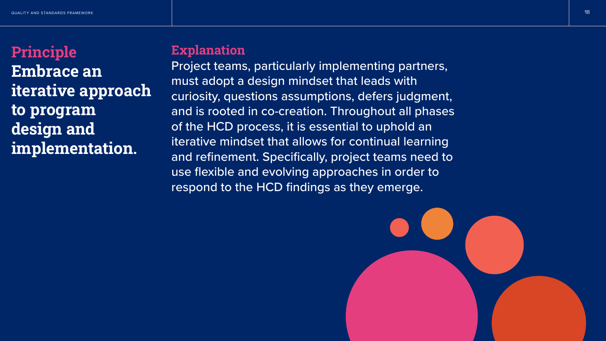

# Principle Embrace an iterative approach to program design and implementation.

# **Explanation**

Project teams, particularly implementing partners, must adopt a design mindset that leads with curiosity, questions assumptions, defers judgment, and is rooted in co-creation. Throughout all phases of the HCD process, it is essential to uphold an iterative mindset that allows for continual learning and refinement. Specifically, project teams need to use flexible and evolving approaches in order to respond to the HCD findings as they emerge.

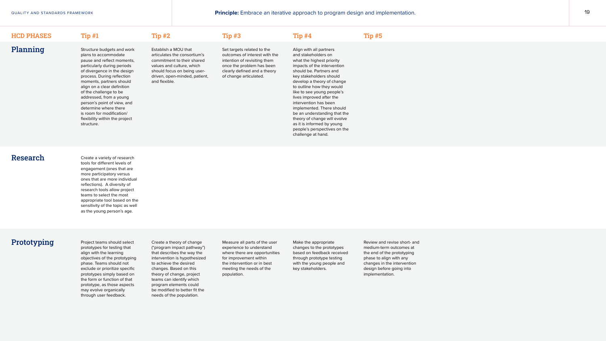# Planning

## HCD PHASES Tip #1 Tip #2 Tip #3 Tip #4 Tip #5

Structure budgets and work plans to accommodate pause and reflect moments, particularly during periods of divergence in the design process. During reflection moments, partners should align on a clear definition of the challenge to be addressed, from a young person's point of view, and determine where there is room for modification/ flexibility within the project structure.

Establish a MOU that articulates the consortium's commitment to their shared values and culture, which should focus on being userdriven, open-minded, patient, and flexible.

Set targets related to the outcomes of interest with the intention of revisiting them once the problem has been clearly defined and a theory of change articulated.

Research Create a variety of research tools for different levels of engagement (ones that are more participatory versus ones that are more individual reflections). A diversity of research tools allow project teams to select the most appropriate tool based on the sensitivity of the topic as well as the young person's age.

# Prototyping Project teams should select

Align with all partners and stakeholders on what the highest priority impacts of the intervention should be. Partners and key stakeholders should develop a theory of change to outline how they would like to see young people's lives improved after the intervention has been implemented. There should be an understanding that the theory of change will evolve as it is informed by young people's perspectives on the challenge at hand.

prototypes for testing that align with the learning objectives of the prototyping phase. Teams should not exclude or prioritize specific prototypes simply based on the form or function of that prototype, as those aspects may evolve organically through user feedback.

Create a theory of change ("program impact pathway") that describes the way the intervention is hypothesized to achieve the desired changes. Based on this theory of change, project teams can identify which program elements could be modified to better fit the needs of the population.

Measure all parts of the user experience to understand where there are opportunities for improvement within the intervention or in best meeting the needs of the population.

QUALITY AND STANDARDS FRAMEWORK **Principle:** Embrace an iterative approach to program design and implementation. 19

Make the appropriate changes to the prototypes based on feedback received through prototype testing with the young people and key stakeholders.

Review and revise short- and medium-term outcomes at the end of the prototyping phase to align with any changes in the intervention design before going into implementation.

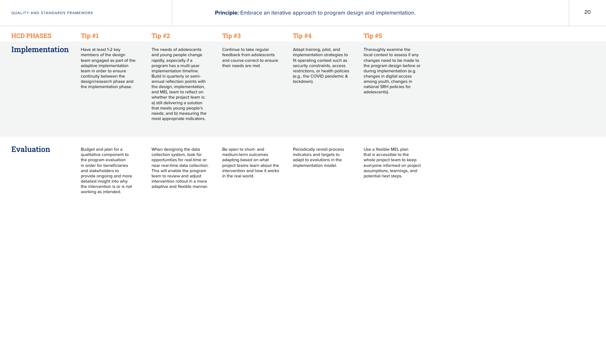## Implementation

## HCD PHASES

qualitative component to the program evaluation in order for beneficiaries and stakeholders to provide ongoing and more detailed insight into why the intervention is or is not working as intended.

When designing the data collection system, look for opportunities for real-time or near real-time data collection. This will enable the program team to review and adjust intervention rollout in a more adaptive and flexible manner.

Be open to short- and medium-term outcomes adapting based on what project teams learn about the intervention and how it works in the real world.

Periodically revisit process indicators and targets to adapt to evolutions in the implementation model.

Use a flexible MEL plan that is accessible to the whole project team to keep everyone informed on project assumptions, learnings, and potential next steps.



Have at least 1-2 key members of the design team engaged as part of the adaptive implementation team in order to ensure continuity between the design/research phase and the implementation phase.

The needs of adolescents and young people change rapidly, especially if a program has a multi-year implementation timeline. Build in quarterly or semiannual reflection points with the design, implementation, and MEL team to reflect on whether the project team is: a) still delivering a solution that meets young people's needs; and b) measuring the most appropriate indicators.

## Tip #1 Tip #2 Tip #3 Tip #3 Tip #4 Tip #5

Continue to take regular feedback from adolescents and course-correct to ensure their needs are met.

## Evaluation Budget and plan for a

Adapt training, pilot, and implementation strategies to fit operating context such as security constraints, access restrictions, or health policies (e.g., the COVID pandemic & lockdown).

Thoroughly examine the local context to assess if any changes need to be made to the program design before or during implementation (e.g. changes in digital access among youth, changes in national SRH policies for adolescents).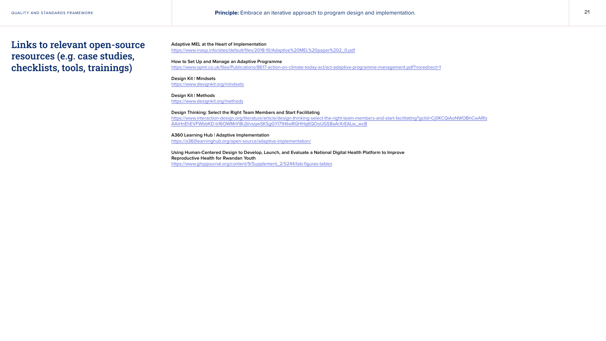**Adaptive MEL at the Heart of Implementation**  https://www.inasp.info/sites/default/files/2018-10/Adaptive%20MEL%20paper%202\_0.pdf

**How to Set Up and Manage an Adaptive Programme** https://www.opml.co.uk/files/Publications/8617-action-on-climate-today-act/act-adaptive-programme-management.pdf?noredirect=1

**Design Kit | Mindsets**  https://www.designkit.org/mindsets

**Design Kit | Methods** https://www.designkit.org/methods

QUALITY AND STANDARDS FRAMEWORK 21 **Principle:** Embrace an iterative approach to program design and implementation.



**Design Thinking: Select the Right Team Members and Start Facilitating** https://www.interaction-design.org/literature/article/design-thinking-select-the-right-team-members-and-start-facilitating?gclid=Cj0KCQiAoNWOBhCwARIs AAiHnEhEVFWbbKD-b16OWMnYBIJjVvsqwSKSgGYI71t4twRGHHq6QOoUGS8aArXrEALw\_wcB

**A360 Learning Hub | Adaptive Implementation** https://a360learninghub.org/open-source/adaptive-implementation/

**Using Human-Centered Design to Develop, Launch, and Evaluate a National Digital Health Platform to Improve Reproductive Health for Rwandan Youth** https://www.ghspjournal.org/content/9/Supplement\_2/S244/tab-figures-tables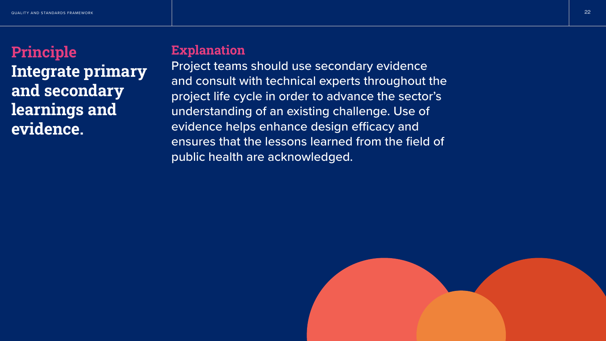

# Principle Integrate primary and secondary learnings and evidence.

# **Explanation**

Project teams should use secondary evidence and consult with technical experts throughout the project life cycle in order to advance the sector's understanding of an existing challenge. Use of evidence helps enhance design efficacy and ensures that the lessons learned from the field of public health are acknowledged.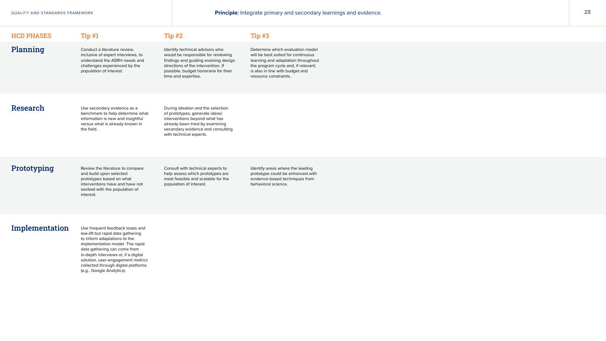QUALITY AND STANDARDS FRAMEWORK **Principle:** Integrate primary and secondary learnings and evidence. 23



| <b>HCD PHASES</b> | Tip#1                        | <b>Tip #2</b>                   | Tip#3          |
|-------------------|------------------------------|---------------------------------|----------------|
| Planning          | Conduct a literature review, | Identify technical advisors who | Determine whic |

inclusive of expert interviews, to understand the ASRH needs and challenges experienced by the population of interest.

ch evaluation model will be best suited for continuous learning and adaptation throughout the program cycle and, if relevant, is also in line with budget and resource constraints.

would be responsible for reviewing findings and guiding evolving design directions of the intervention. If possible, budget honoraria for their time and expertise.

> Identify areas where the leading prototype could be enhanced with evidence-based techniques from behavioral science.

# Research

# Prototyping

## Implementation

Use secondary evidence as a benchmark to help determine what information is new and insightful versus what is already known in the field.

Review the literature to compare and build upon selected prototypes based on what interventions have and have not worked with the population of interest.

Use frequent feedback loops and low-lift but rapid data gathering to inform adaptations to the implementation model. The rapid data gathering can come from in-depth interviews or, if a digital solution, user-engagement metrics collected through digital platforms (e.g., Google Analytics).

During ideation and the selection of prototypes, generate ideas/ interventions beyond what has already been tried by examining secondary evidence and consulting with technical experts.

Consult with technical experts to help assess which prototypes are most feasible and scalable for the population of interest.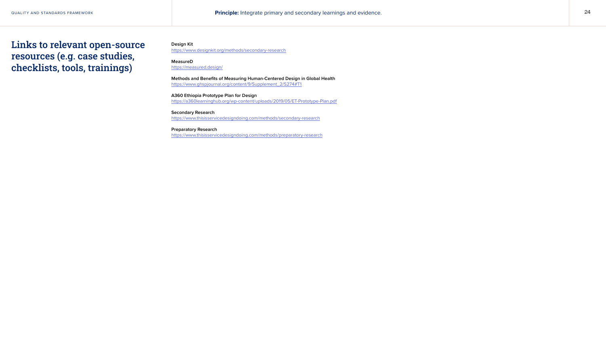**Design Kit**

[https://www.designkit.org/methods/secondary-research](https://www.designkit.org/methods/secondary-research )

**MeasureD** [https://measured.design/](https://measured.design/ )

**Methods and Benefits of Measuring Human-Centered Design in Global Health** [https://www.ghspjournal.org/content/9/Supplement\\_2/S274#T1](https://www.ghspjournal.org/content/9/Supplement_2/S274#T1 )

QUALITY AND STANDARDS FRAMEWORK 24 **Principle:** Integrate primary and secondary learnings and evidence.



**A360 Ethiopia Prototype Plan for Design**  [https://a360learninghub.org/wp-content/uploads/2019/05/ET-Prototype-Plan.pdf](https://a360learninghub.org/wp-content/uploads/2019/05/ET-Prototype-Plan.pdf )

**Secondary Research** [https://www.thisisservicedesigndoing.com/methods/secondary-research](https://www.thisisservicedesigndoing.com/methods/secondary-research )

**Preparatory Research** <https://www.thisisservicedesigndoing.com/methods/preparatory-research>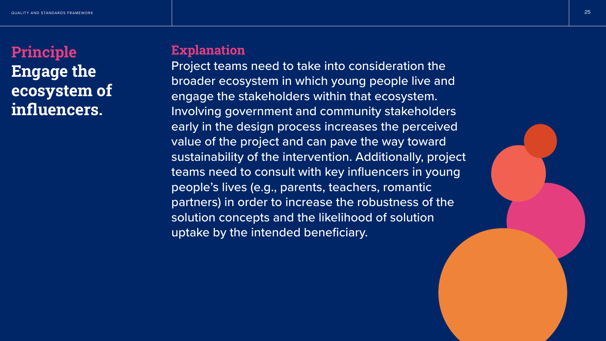



# Principle Engage the ecosystem of influencers.

# **Explanation**

Project teams need to take into consideration the broader ecosystem in which young people live and engage the stakeholders within that ecosystem. Involving government and community stakeholders early in the design process increases the perceived value of the project and can pave the way toward sustainability of the intervention. Additionally, project teams need to consult with key influencers in young people's lives (e.g., parents, teachers, romantic partners) in order to increase the robustness of the solution concepts and the likelihood of solution uptake by the intended beneficiary.

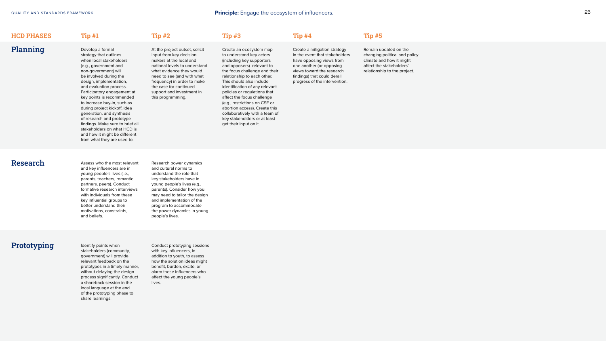# Planning

## HCD PHASES Tip #1 Tip #2 Tip #3 Tip #4 Tip #5

Develop a formal strategy that outlines when local stakeholders (e.g., government and non-government) will be involved during the design, implementation, and evaluation process. Participatory engagement at key points is recommended to increase buy-in, such as during project kickoff, idea generation, and synthesis of research and prototype findings. Make sure to brief all stakeholders on what HCD is and how it might be different from what they are used to.

At the project outset, solicit input from key decision makers at the local and national levels to understand what evidence they would need to see (and with what frequency) in order to make the case for continued support and investment in this programming.

Research Assess who the most relevant and key influencers are in young people's lives (i.e., parents, teachers, romantic partners, peers). Conduct formative research interviews with individuals from these key influential groups to better understand their motivations, constraints, and beliefs.

Create an ecosystem map to understand key actors (including key supporters and opposers) relevant to the focus challenge and their relationship to each other. This should also include identification of any relevant policies or regulations that affect the focus challenge (e.g., restrictions on CSE or abortion access). Create this collaboratively with a team of key stakeholders or at least get their input on it.

Create a mitigation strategy in the event that stakeholders have opposing views from one another (or opposing views toward the research findings) that could derail progress of the intervention.

Remain updated on the changing political and policy climate and how it might affect the stakeholders' relationship to the project.



Research power dynamics and cultural norms to understand the role that key stakeholders have in young people's lives (e.g., parents). Consider how you may need to tailor the design and implementation of the program to accommodate the power dynamics in young people's lives.

# **Prototyping** Identify points when

stakeholders (community, government) will provide relevant feedback on the prototypes in a timely manner, without delaying the design process significantly. Conduct a shareback session in the local language at the end of the prototyping phase to share learnings.

Conduct prototyping sessions with key influencers, in addition to youth, to assess how the solution ideas might benefit, burden, excite, or alarm these influencers who affect the young people's lives.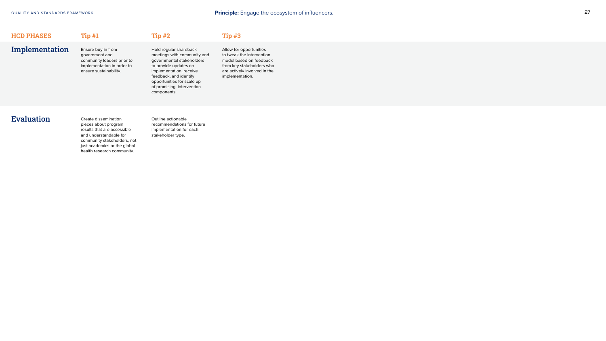Implementation

## HCD PHASES

pieces about program results that are accessible and understandable for community stakeholders, not just academics or the global health research community.

Outline actionable recommendations for future implementation for each stakeholder type.



Ensure buy-in from government and community leaders prior to implementation in order to ensure sustainability.

Hold regular shareback meetings with community and governmental stakeholders to provide updates on implementation, receive feedback, and identify opportunities for scale up of promising intervention components.

## $\text{Tip } \#1$   $\text{Tip } \#2$   $\text{Tip } \#3$

Allow for opportunities to tweak the intervention model based on feedback from key stakeholders who are actively involved in the implementation.

# Evaluation Create dissemination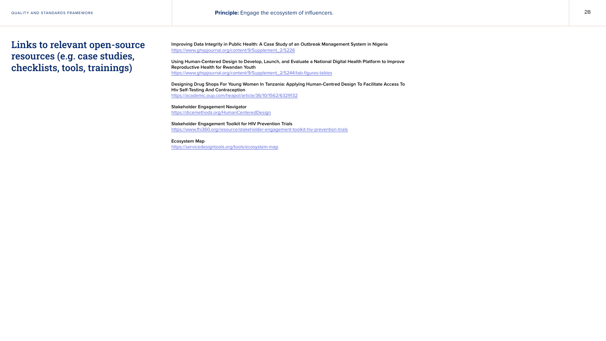**Improving Data Integrity in Public Health: A Case Study of an Outbreak Management System in Nigeria** [https://www.ghspjournal.org/content/9/Supplement\\_2/S226](https://www.ghspjournal.org/content/9/Supplement_2/S226 )

**Using Human-Centered Design to Develop, Launch, and Evaluate a National Digital Health Platform to Improve Reproductive Health for Rwandan Youth** [https://www.ghspjournal.org/content/9/Supplement\\_2/S244/tab-figures-tables](https://www.ghspjournal.org/content/9/Supplement_2/S244/tab-figures-tables )

**Designing Drug Shops For Young Women In Tanzania: Applying Human-Centred Design To Facilitate Access To Hiv Self-Testing And Contraception**  [https://academic.oup.com/heapol/article/36/10/1562/6329132](https://academic.oup.com/heapol/article/36/10/1562/6329132 )

**Stakeholder Engagement Navigator** [https://dicemethods.org/HumanCenteredDesign](https://dicemethods.org/HumanCenteredDesign )

**Stakeholder Engagement Toolkit for HIV Prevention Trials** [https://www.fhi360.org/resource/stakeholder-engagement-toolkit-hiv-prevention-trials](https://www.fhi360.org/resource/stakeholder-engagement-toolkit-hiv-prevention-trials )

**Ecosystem Map** <https://servicedesigntools.org/tools/ecosystem-map>

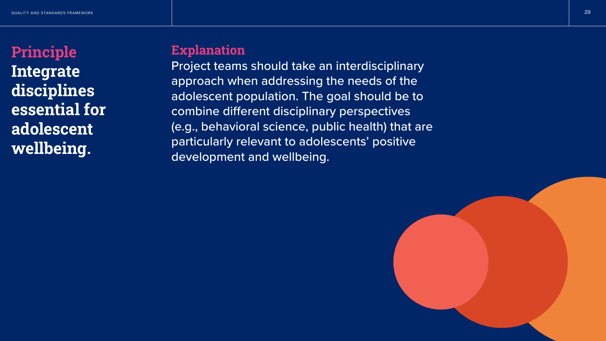

# Principle Integrate disciplines essential for adolescent wellbeing.

# **Explanation**

Project teams should take an interdisciplinary approach when addressing the needs of the adolescent population. The goal should be to combine different disciplinary perspectives (e.g., behavioral science, public health) that are particularly relevant to adolescents' positive development and wellbeing.

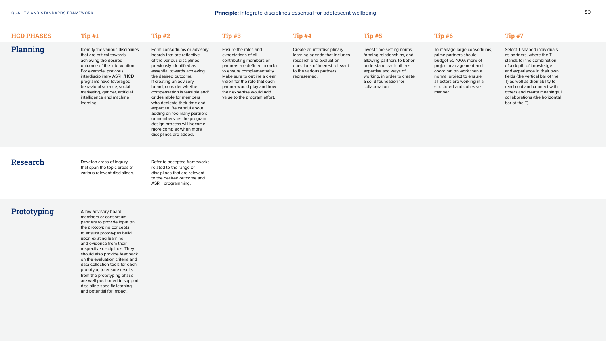# Planning

## HCD PHASES Tip #1 Tip #2 Tip #3 Tip #4 Tip #5 Tip #6 Tip #7

Identify the various disciplines that are critical towards achieving the desired outcome of the intervention. For example, previous interdisciplinary ASRH/HCD programs have leveraged behavioral science, social marketing, gender, artificial intelligence and machine learning.

Form consortiums or advisory boards that are reflective of the various disciplines previously identified as essential towards achieving the desired outcome. If creating an advisory board, consider whether compensation is feasible and/ or desirable for members who dedicate their time and expertise. Be careful about adding on too many partners or members, as the program design process will become more complex when more disciplines are added.

Ensure the roles and expectations of all contributing members or partners are defined in order to ensure complementarity. Make sure to outline a clear vision for the role that each partner would play and how their expertise would add value to the program effort.

Research Develop areas of inquiry that span the topic areas of various relevant disciplines.

Create an interdisciplinary learning agenda that includes research and evaluation questions of interest relevant to the various partners represented.

Invest time setting norms, forming relationships, and allowing partners to better understand each other's expertise and ways of working, in order to create a solid foundation for collaboration.

To manage large consortiums, prime partners should budget 50-100% more of project management and coordination work than a normal project to ensure all actors are working in a structured and cohesive manner.

Select T-shaped individuals as partners, where the T stands for the combination of a depth of knowledge and experience in their own fields (the vertical bar of the T) as well as their ability to reach out and connect with others and create meaningful collaborations (the horizontal bar of the T).



Refer to accepted frameworks related to the range of disciplines that are relevant to the desired outcome and ASRH programming.

# **Prototyping** Allow advisory board

members or consortium partners to provide input on the prototyping concepts to ensure prototypes build upon existing learning and evidence from their respective disciplines. They should also provide feedback on the evaluation criteria and data collection tools for each prototype to ensure results from the prototyping phase are well-positioned to support discipline-specific learning and potential for impact.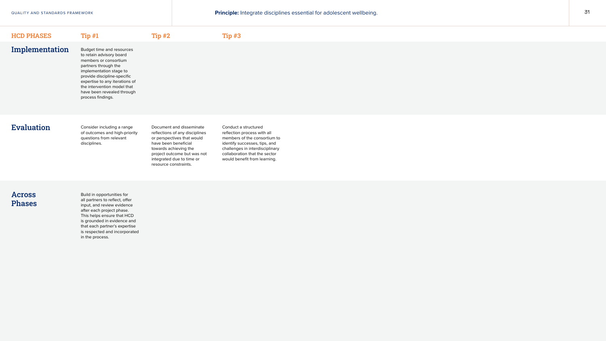## $HCD$  PHASES Tip  $#1$  Tip  $#2$

# Implementation

Budget time and resources to retain advisory board members or consortium partners through the implementation stage to provide discipline-specific expertise to any iterations of the intervention model that have been revealed through process findings.

## Evaluation

# Across Phases

Consider including a range of outcomes and high-priority questions from relevant disciplines.

Build in opportunities for all partners to reflect, offer input, and review evidence after each project phase. This helps ensure that HCD is grounded in evidence and that each partner's expertise is respected and incorporated in the process.

Document and disseminate reflections of any disciplines or perspectives that would have been beneficial towards achieving the project outcome but was not integrated due to time or resource constraints.

## Tip #3

QUALITY AND STANDARDS FRAMEWORK **31 CONTROLLY AND STANDARDS FRAMEWORK 31** 



## Conduct a structured reflection process with all members of the consortium to identify successes, tips, and challenges in interdisciplinary collaboration that the sector would benefit from learning.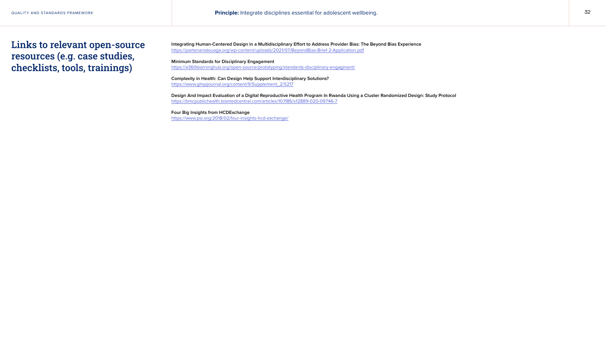**Integrating Human-Centered Design in a Multidisciplinary Effort to Address Provider Bias: The Beyond Bias Experience** https://partenariatouaga.org/wp-content/uploads/2021/07/BeyondBias-Brief-2-Application.pdf

**Minimum Standards for Disciplinary Engagement** https://a360learninghub.org/open-source/prototyping/standards-disciplinary-engagment/

**Complexity in Health: Can Design Help Support Interdisciplinary Solutions?** https://www.ghspjournal.org/content/9/Supplement\_2/S217

**Design And Impact Evaluation of a Digital Reproductive Health Program In Rwanda Using a Cluster Randomized Design: Study Protocol** https://bmcpublichealth.biomedcentral.com/articles/10.1186/s12889-020-09746-7

**Four Big Insights from HCDExchange** https://www.psi.org/2018/02/four-insights-hcd-exchange/

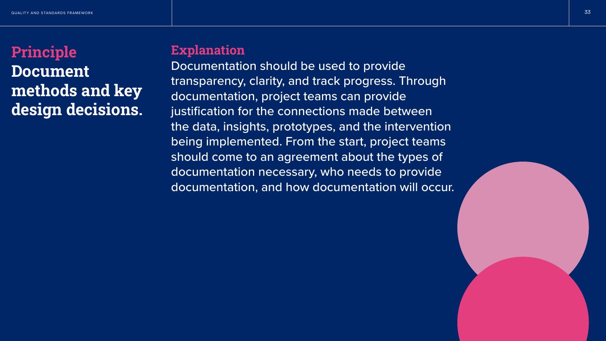

# Principle Document methods and key design decisions.

# **Explanation**

Documentation should be used to provide transparency, clarity, and track progress. Through documentation, project teams can provide justification for the connections made between the data, insights, prototypes, and the intervention being implemented. From the start, project teams should come to an agreement about the types of documentation necessary, who needs to provide documentation, and how documentation will occur.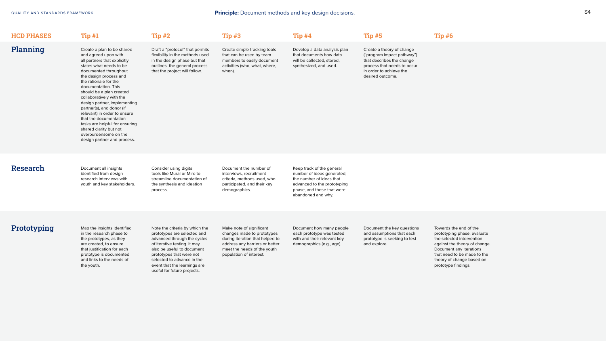# Planning

## HCD PHASES Tip #1 Tip #2 Tip #3 Tip #4 Tip #5 Tip #6

Create a plan to be shared and agreed upon with all partners that explicitly states what needs to be documented throughout the design process and the rationale for the documentation. This should be a plan created collaboratively with the design partner, implementing partner(s), and donor (if relevant) in order to ensure that the documentation tasks are helpful for ensuring shared clarity but not overburdensome on the design partner and process.

Research Document all insights identified from design research interviews with youth and key stakeholders.

Draft a "protocol" that permits flexibility in the methods used in the design phase but that outlines the general process that the project will follow.

Create simple tracking tools that can be used by team members to easily document activities (who, what, where, when).

Develop a data analysis plan that documents how data will be collected, stored, synthesized, and used.

Create a theory of change ("program impact pathway") that describes the change process that needs to occur in order to achieve the desired outcome.

Consider using digital tools like Mural or Miro to streamline documentation of the synthesis and ideation process.

Document the number of interviews, recruitment criteria, methods used, who participated, and their key demographics.

# **Prototyping** Map the insights identified

Keep track of the general number of ideas generated, the number of ideas that advanced to the prototyping phase, and those that were abandoned and why.

in the research phase to the prototypes, as they are created, to ensure that justification for each prototype is documented and links to the needs of the youth.

Note the criteria by which the prototypes are selected and advanced through the cycles of iterative testing. It may also be useful to document prototypes that were not selected to advance in the event that the learnings are useful for future projects.

Make note of significant changes made to prototypes during iteration that helped to address any barriers or better meet the needs of the youth population of interest.

Document how many people each prototype was tested with and their relevant key demographics (e.g., age).

Document the key questions and assumptions that each prototype is seeking to test and explore.

Towards the end of the prototyping phase, evaluate the selected intervention against the theory of change. Document any iterations that need to be made to the theory of change based on prototype findings.

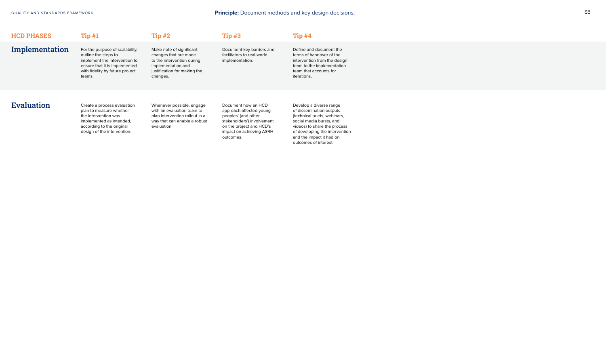outline the steps to implement the intervention to ensure that it is implemented with fidelity by future project teams.

Evaluation Create a process evaluation plan to measure whether the intervention was implemented as intended, according to the original design of the intervention.

changes that are made to the intervention during implementation and justification for making the changes.

| <b>HCD PHASES</b> | Tip#1                           | Tip#2                    | Tip#3                      |
|-------------------|---------------------------------|--------------------------|----------------------------|
| Implementation    | For the purpose of scalability, | Make note of significant | Document key barriers and  |
|                   | outline the steps to            | changes that are made    | facilitators to real-world |

Whenever possible, engage with an evaluation team to plan intervention rollout in a way that can enable a robust evaluation.

implementation.

## $Tip#4$

Document how an HCD approach affected young peoples' (and other stakeholders') involvement on the project and HCD's impact on achieving ASRH outcomes.

Define and document the terms of handover of the intervention from the design team to the implementation team that accounts for iterations.

Develop a diverse range of dissemination outputs (technical briefs, webinars, social media bursts, and videos) to share the process of developing the intervention and the impact it had on outcomes of interest.

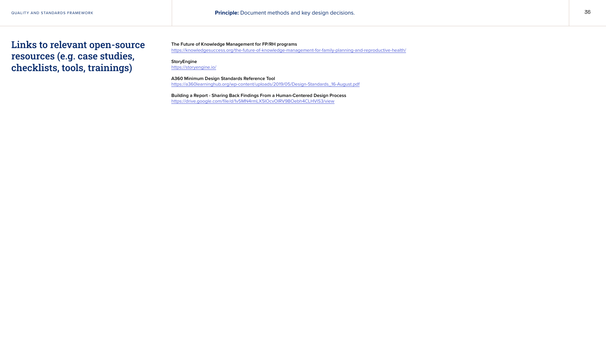**The Future of Knowledge Management for FP/RH programs** [https://knowledgesuccess.org/the-future-of-knowledge-management-for-family-planning-and-reproductive-health/](https://knowledgesuccess.org/the-future-of-knowledge-management-for-family-planning-and-reproductive-health/ )

## **StoryEngine**

[https://storyengine.io/](https://storyengine.io/ )

**A360 Minimum Design Standards Reference Tool** [https://a360learninghub.org/wp-content/uploads/2019/05/Design-Standards\\_16-August.pdf](https://a360learninghub.org/wp-content/uploads/2019/05/Design-Standards_16-August.pdf )

**Building a Report - Sharing Back Findings From a Human-Centered Design Process** <https://drive.google.com/file/d/1v5MN4rmLX5IOcvOIRV9BOebh4CLHVlS3/view>

QUALITY AND STANDARDS FRAMEWORK **36 CONTROLL CONTROLLY AND STANDARDS FRAMEWORK 36** CONTROLLY AND STANDARDS FRAMEWORK 36 CONTROLLY AND STANDARDS FRAMEWORK 36 CONTROLLY AND STANDARDS FRAMEWORK 36 CONTROLLY AND SUMMER SUMMER